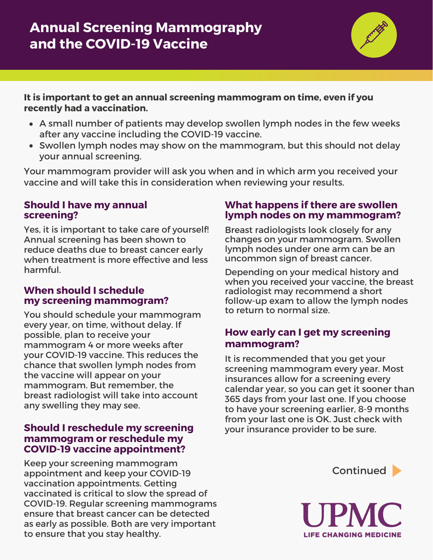**It is important to get an annual screening mammogram on time, even if you recently had a vaccination.**

- A small number of patients may develop swollen lymph nodes in the few weeks after any vaccine including the COVID-19 vaccine.
- Swollen lymph nodes may show on the mammogram, but this should not delay your annual screening.

Your mammogram provider will ask you when and in which arm you received your vaccine and will take this in consideration when reviewing your results.

### **Should I have my annual screening?**

Yes, it is important to take care of yourself! Annual screening has been shown to reduce deaths due to breast cancer early when treatment is more effective and less harmful.

### **When should I schedule my screening mammogram?**

You should schedule your mammogram every year, on time, without delay. If possible, plan to receive your mammogram 4 or more weeks after your COVID-19 vaccine. This reduces the chance that swollen lymph nodes from the vaccine will appear on your mammogram. But remember, the breast radiologist will take into account any swelling they may see.

## **Should I reschedule my screening mammogram or reschedule my COVID-19 vaccine appointment?**

Keep your screening mammogram appointment and keep your COVID-19 vaccination appointments. Getting vaccinated is critical to slow the spread of COVID-19. Regular screening mammograms ensure that breast cancer can be detected as early as possible. Both are very important to ensure that you stay healthy.

## **What happens if there are swollen lymph nodes on my mammogram?**

Breast radiologists look closely for any changes on your mammogram. Swollen lymph nodes under one arm can be an uncommon sign of breast cancer.

Depending on your medical history and when you received your vaccine, the breast radiologist may recommend a short follow-up exam to allow the lymph nodes to return to normal size.

# **How early can I get my screening mammogram?**

It is recommended that you get your screening mammogram every year. Most insurances allow for a screening every calendar year, so you can get it sooner than 365 days from your last one. If you choose to have your screening earlier, 8-9 months from your last one is OK. Just check with your insurance provider to be sure.